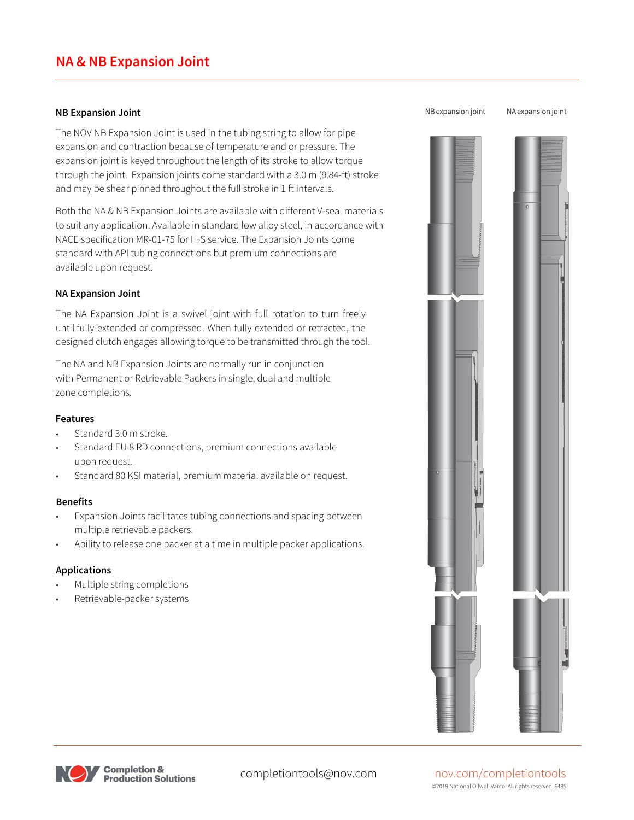### **NA & NB Expansion Joint**

#### **NB Expansion Joint**

The NOV NB Expansion Joint is used in the tubing string to allow for pipe expansion and contraction because of temperature and or pressure. The expansion joint is keyed throughout the length of its stroke to allow torque through the joint. Expansion joints come standard with a 3.0 m (9.84-ft) stroke and may be shear pinned throughout the full stroke in 1 ft intervals.

Both the NA & NB Expansion Joints are available with different V-seal materials to suit any application. Available in standard low alloy steel, in accordance with NACE specification MR-01-75 for H<sub>2</sub>S service. The Expansion Joints come standard with API tubing connections but premium connections are available upon request.

#### **NA Expansion Joint**

The NA Expansion Joint is a swivel joint with full rotation to turn freely until fully extended or compressed. When fully extended or retracted, the designed clutch engages allowing torque to be transmitted through the tool.

The NA and NB Expansion Joints are normally run in conjunction with Permanent or Retrievable Packers in single, dual and multiple zone completions.

#### **Features**

- Standard 3.0 m stroke.
- Standard EU 8 RD connections, premium connections available upon request.
- Standard 80 KSI material, premium material available on request.

#### **Benefits**

- Expansion Joints facilitates tubing connections and spacing between multiple retrievable packers.
- Ability to release one packer at a time in multiple packer applications.

#### **Applications**

- Multiple string completions
- Retrievable-packer systems





# completiontools@nov.com nov.com/completiontools

©2019 National Oilwell Varco. All rights reserved. 6485

#### NB expansion joint NA expansion joint